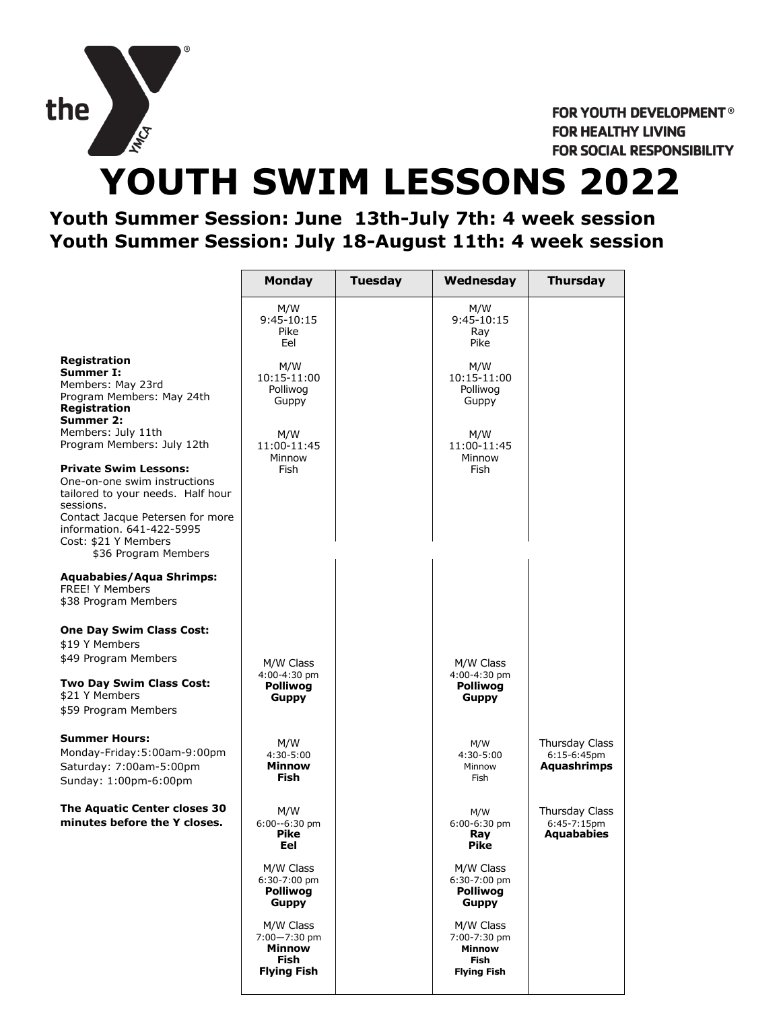

FOR YOUTH DEVELOPMENT® **FOR HEALTHY LIVING** FOR SOCIAL RESPONSIBILITY

# **YOUTH SWIM LESSONS 2022**

### **Youth Summer Session: June 13th-July 7th: 4 week session Youth Summer Session: July 18-August 11th: 4 week session**

|                                                                                                                                                                                                                                 | <b>Monday</b>                                                         | <b>Tuesday</b> | Wednesday                                                                       | <b>Thursday</b>                                        |
|---------------------------------------------------------------------------------------------------------------------------------------------------------------------------------------------------------------------------------|-----------------------------------------------------------------------|----------------|---------------------------------------------------------------------------------|--------------------------------------------------------|
|                                                                                                                                                                                                                                 | M/W<br>9:45-10:15<br>Pike<br>Eel                                      |                | M/W<br>9:45-10:15<br>Ray<br>Pike                                                |                                                        |
| <b>Registration</b><br>Summer I:<br>Members: May 23rd<br>Program Members: May 24th<br><b>Registration</b><br>Summer 2:                                                                                                          | M/W<br>10:15-11:00<br>Polliwog<br>Guppy                               |                | M/W<br>10:15-11:00<br>Polliwog<br>Guppy                                         |                                                        |
| Members: July 11th<br>Program Members: July 12th                                                                                                                                                                                | M/W<br>11:00-11:45<br>Minnow                                          |                | M/W<br>11:00-11:45<br>Minnow                                                    |                                                        |
| <b>Private Swim Lessons:</b><br>One-on-one swim instructions<br>tailored to your needs. Half hour<br>sessions.<br>Contact Jacque Petersen for more<br>information. 641-422-5995<br>Cost: \$21 Y Members<br>\$36 Program Members | Fish                                                                  |                | Fish                                                                            |                                                        |
| <b>Aquababies/Aqua Shrimps:</b><br><b>FREE! Y Members</b><br>\$38 Program Members                                                                                                                                               |                                                                       |                |                                                                                 |                                                        |
| <b>One Day Swim Class Cost:</b><br>\$19 Y Members<br>\$49 Program Members<br>Two Day Swim Class Cost:<br>\$21 Y Members<br>\$59 Program Members                                                                                 | M/W Class<br>4:00-4:30 pm<br><b>Polliwog</b><br>Guppy                 |                | M/W Class<br>4:00-4:30 pm<br><b>Polliwog</b><br><b>Guppy</b>                    |                                                        |
| <b>Summer Hours:</b><br>Monday-Friday:5:00am-9:00pm<br>Saturday: 7:00am-5:00pm<br>Sunday: 1:00pm-6:00pm                                                                                                                         | M/W<br>4:30-5:00<br><b>Minnow</b><br><b>Fish</b>                      |                | M/W<br>4:30-5:00<br>Minnow<br>Fish                                              | Thursday Class<br>$6:15-6:45$ pm<br><b>Aquashrimps</b> |
| The Aquatic Center closes 30<br>minutes before the Y closes.                                                                                                                                                                    | M/W<br>6:00--6:30 pm<br>Pike<br>Eel                                   |                | M/W<br>$6:00-6:30$ pm<br>Ray<br>Pike                                            | Thursday Class<br>6:45-7:15pm<br><b>Aquababies</b>     |
|                                                                                                                                                                                                                                 | M/W Class<br>$6:30-7:00$ pm<br>Polliwog<br>Guppy                      |                | M/W Class<br>6:30-7:00 pm<br>Polliwog<br><b>Guppy</b>                           |                                                        |
|                                                                                                                                                                                                                                 | M/W Class<br>$7:00 - 7:30$ pm<br>Minnow<br>Fish<br><b>Flying Fish</b> |                | M/W Class<br>7:00-7:30 pm<br><b>Minnow</b><br><b>Fish</b><br><b>Flying Fish</b> |                                                        |